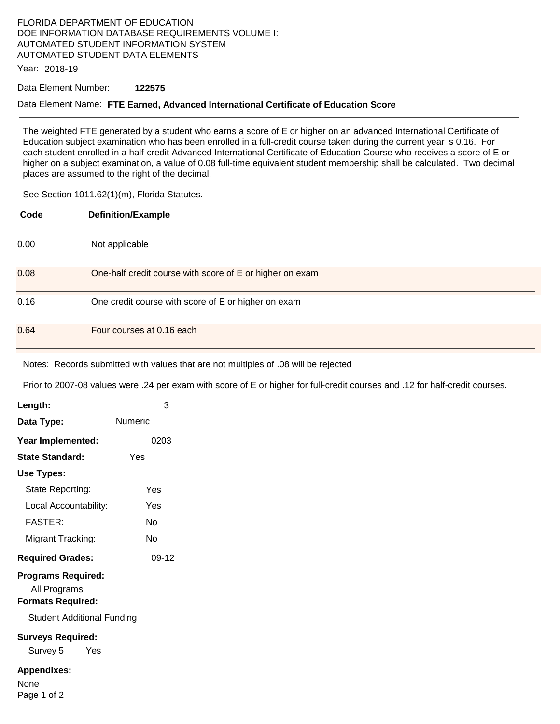# FLORIDA DEPARTMENT OF EDUCATION DOE INFORMATION DATABASE REQUIREMENTS VOLUME I: AUTOMATED STUDENT INFORMATION SYSTEM AUTOMATED STUDENT DATA ELEMENTS

Year: 2018-19

#### Data Element Number: **122575**

#### Data Element Name: **FTE Earned, Advanced International Certificate of Education Score**

The weighted FTE generated by a student who earns a score of E or higher on an advanced International Certificate of Education subject examination who has been enrolled in a full-credit course taken during the current year is 0.16. For each student enrolled in a half-credit Advanced International Certificate of Education Course who receives a score of E or higher on a subject examination, a value of 0.08 full-time equivalent student membership shall be calculated. Two decimal places are assumed to the right of the decimal.

See Section 1011.62(1)(m), Florida Statutes.

| Code | <b>Definition/Example</b>                                |
|------|----------------------------------------------------------|
| 0.00 | Not applicable                                           |
| 0.08 | One-half credit course with score of E or higher on exam |
| 0.16 | One credit course with score of E or higher on exam      |
| 0.64 | Four courses at 0.16 each                                |

Notes: Records submitted with values that are not multiples of .08 will be rejected

Prior to 2007-08 values were .24 per exam with score of E or higher for full-credit courses and .12 for half-credit courses.

| Length:                                                                                                    | 3       |  |
|------------------------------------------------------------------------------------------------------------|---------|--|
| Data Type:                                                                                                 | Numeric |  |
| Year Implemented:                                                                                          | 0203    |  |
| <b>State Standard:</b>                                                                                     | Yes     |  |
| Use Types:                                                                                                 |         |  |
| State Reporting:                                                                                           | Yes     |  |
| Local Accountability:                                                                                      | Yes     |  |
| <b>FASTER:</b>                                                                                             | Nο      |  |
| Migrant Tracking:                                                                                          | Nο      |  |
| <b>Required Grades:</b>                                                                                    | $09-12$ |  |
| <b>Programs Required:</b><br>All Programs<br><b>Formats Required:</b><br><b>Student Additional Funding</b> |         |  |
| <b>Surveys Required:</b><br>Survey 5 Yes                                                                   |         |  |
| <b>Appendixes:</b><br>None<br>Page 1 of 2                                                                  |         |  |